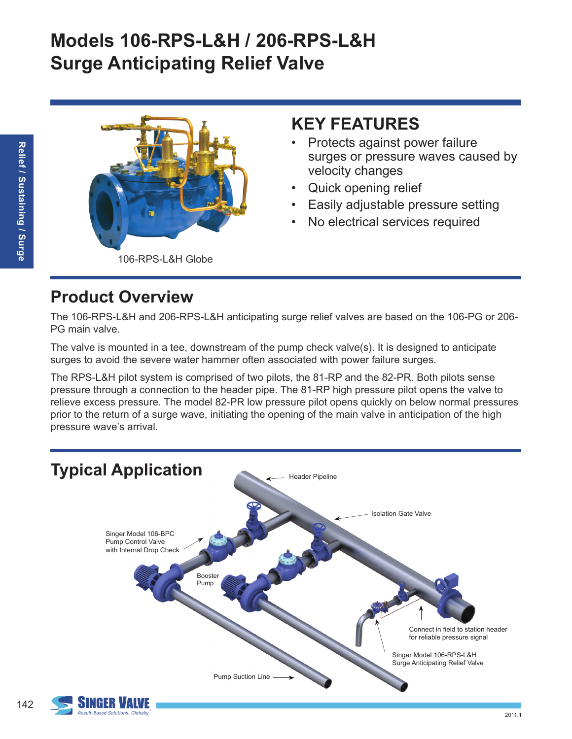# **Models 106-RPS-L&H / 206-RPS-L&H Surge Anticipating Relief Valve**



## **KEY FEATURES**

- Protects against power failure surges or pressure waves caused by velocity changes
- Quick opening relief
- Easily adjustable pressure setting
- No electrical services required

## **Product Overview**

The 106-RPS-L&H and 206-RPS-L&H anticipating surge relief valves are based on the 106-PG or 206- PG main valve.

The valve is mounted in a tee, downstream of the pump check valve(s). It is designed to anticipate surges to avoid the severe water hammer often associated with power failure surges.

The RPS-L&H pilot system is comprised of two pilots, the 81-RP and the 82-PR. Both pilots sense pressure through a connection to the header pipe. The 81-RP high pressure pilot opens the valve to relieve excess pressure. The model 82-PR low pressure pilot opens quickly on below normal pressures prior to the return of a surge wave, initiating the opening of the main valve in anticipation of the high pressure wave's arrival.



142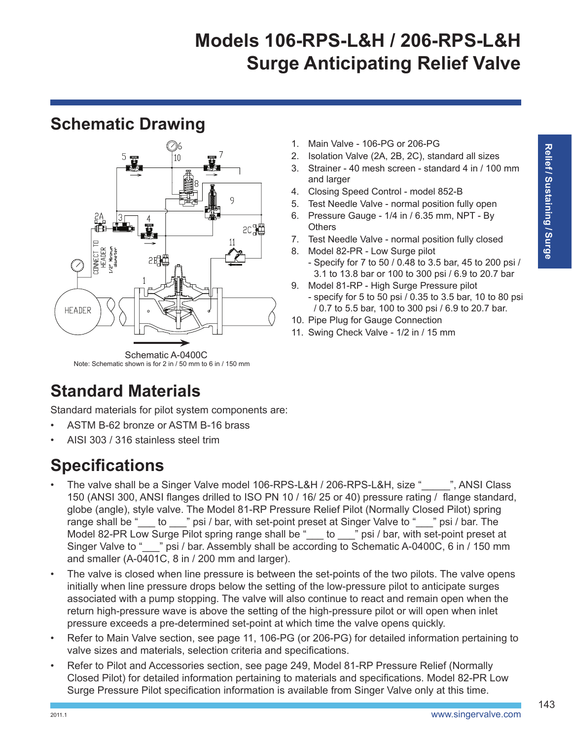# **Models 106-RPS-L&H / 206-RPS-L&H Surge Anticipating Relief Valve**

#### **Schematic Drawing**



Note: Schematic shown is for 2 in / 50 mm to 6 in / 150 mm

# **Standard Materials**

Standard materials for pilot system components are:

- ASTM B-62 bronze or ASTM B-16 brass
- AISI 303 / 316 stainless steel trim

## **Specifications**

- The valve shall be a Singer Valve model 106-RPS-L&H / 206-RPS-L&H, size "\_\_\_\_", ANSI Class 150 (ANSI 300, ANSI flanges drilled to ISO PN 10 / 16/ 25 or 40) pressure rating / flange standard, globe (angle), style valve. The Model 81-RP Pressure Relief Pilot (Normally Closed Pilot) spring range shall be "\_\_\_ to \_\_\_" psi / bar, with set-point preset at Singer Valve to "\_\_\_" psi / bar. The Model 82-PR Low Surge Pilot spring range shall be " \_\_ to \_\_\_" psi / bar, with set-point preset at Singer Valve to "\_\_\_" psi / bar. Assembly shall be according to Schematic A-0400C, 6 in / 150 mm and smaller (A-0401C, 8 in / 200 mm and larger).
- The valve is closed when line pressure is between the set-points of the two pilots. The valve opens initially when line pressure drops below the setting of the low-pressure pilot to anticipate surges associated with a pump stopping. The valve will also continue to react and remain open when the return high-pressure wave is above the setting of the high-pressure pilot or will open when inlet pressure exceeds a pre-determined set-point at which time the valve opens quickly.
- Refer to Main Valve section, see page 11, 106-PG (or 206-PG) for detailed information pertaining to valve sizes and materials, selection criteria and specifications.
- Refer to Pilot and Accessories section, see page 249, Model 81-RP Pressure Relief (Normally Closed Pilot) for detailed information pertaining to materials and specifications. Model 82-PR Low Surge Pressure Pilot specification information is available from Singer Valve only at this time.
- 1. Main Valve 106-PG or 206-PG
- 2. Isolation Valve (2A, 2B, 2C), standard all sizes
- 3. Strainer 40 mesh screen standard 4 in / 100 mm and larger
- 4. Closing Speed Control model 852-B
- 5. Test Needle Valve normal position fully open
- 6. Pressure Gauge 1/4 in / 6.35 mm, NPT By **Others**
- 7. Test Needle Valve normal position fully closed
- 8. Model 82-PR Low Surge pilot - Specify for 7 to 50 / 0.48 to 3.5 bar, 45 to 200 psi / 3.1 to 13.8 bar or 100 to 300 psi / 6.9 to 20.7 bar
- 9. Model 81-RP High Surge Pressure pilot - specify for 5 to 50 psi / 0.35 to 3.5 bar, 10 to 80 psi / 0.7 to 5.5 bar, 100 to 300 psi / 6.9 to 20.7 bar.
- 10. Pipe Plug for Gauge Connection
- 11. Swing Check Valve 1/2 in / 15 mm

143